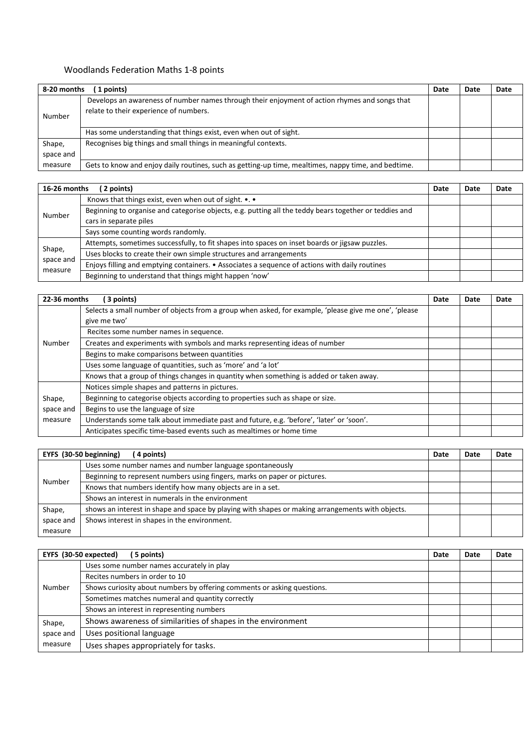## Woodlands Federation Maths 1-8 points

| (1 points)<br>8-20 months |                                                                                                                                         |  | Date | Date |
|---------------------------|-----------------------------------------------------------------------------------------------------------------------------------------|--|------|------|
| Number                    | Develops an awareness of number names through their enjoyment of action rhymes and songs that<br>relate to their experience of numbers. |  |      |      |
|                           | Has some understanding that things exist, even when out of sight.                                                                       |  |      |      |
| Shape,<br>space and       | Recognises big things and small things in meaningful contexts.                                                                          |  |      |      |
| measure                   | Gets to know and enjoy daily routines, such as getting-up time, mealtimes, nappy time, and bedtime.                                     |  |      |      |

| 16-26 months<br>(2 points)     |                                                                                                        | Date | Date | Date |
|--------------------------------|--------------------------------------------------------------------------------------------------------|------|------|------|
| Number                         | Knows that things exist, even when out of sight. •. •                                                  |      |      |      |
|                                | Beginning to organise and categorise objects, e.g. putting all the teddy bears together or teddies and |      |      |      |
|                                | cars in separate piles                                                                                 |      |      |      |
|                                | Says some counting words randomly.                                                                     |      |      |      |
| Shape,<br>space and<br>measure | Attempts, sometimes successfully, to fit shapes into spaces on inset boards or jigsaw puzzles.         |      |      |      |
|                                | Uses blocks to create their own simple structures and arrangements                                     |      |      |      |
|                                | Enjoys filling and emptying containers. • Associates a sequence of actions with daily routines         |      |      |      |
|                                | Beginning to understand that things might happen 'now'                                                 |      |      |      |

| 22-36 months | 3 points)                                                                                             | Date | Date | Date |
|--------------|-------------------------------------------------------------------------------------------------------|------|------|------|
| Number       | Selects a small number of objects from a group when asked, for example, 'please give me one', 'please |      |      |      |
|              | give me two'                                                                                          |      |      |      |
|              | Recites some number names in sequence.                                                                |      |      |      |
|              | Creates and experiments with symbols and marks representing ideas of number                           |      |      |      |
|              | Begins to make comparisons between quantities                                                         |      |      |      |
|              | Uses some language of quantities, such as 'more' and 'a lot'                                          |      |      |      |
|              | Knows that a group of things changes in quantity when something is added or taken away.               |      |      |      |
|              | Notices simple shapes and patterns in pictures.                                                       |      |      |      |
| Shape,       | Beginning to categorise objects according to properties such as shape or size.                        |      |      |      |
| space and    | Begins to use the language of size                                                                    |      |      |      |
| measure      | Understands some talk about immediate past and future, e.g. 'before', 'later' or 'soon'.              |      |      |      |
|              | Anticipates specific time-based events such as mealtimes or home time                                 |      |      |      |

|           | EYFS (30-50 beginning)<br>(4 points)                                                             | Date | Date | Date |
|-----------|--------------------------------------------------------------------------------------------------|------|------|------|
| Number    | Uses some number names and number language spontaneously                                         |      |      |      |
|           | Beginning to represent numbers using fingers, marks on paper or pictures.                        |      |      |      |
|           | Knows that numbers identify how many objects are in a set.                                       |      |      |      |
|           | Shows an interest in numerals in the environment                                                 |      |      |      |
| Shape,    | shows an interest in shape and space by playing with shapes or making arrangements with objects. |      |      |      |
| space and | Shows interest in shapes in the environment.                                                     |      |      |      |
| measure   |                                                                                                  |      |      |      |

|           | EYFS (30-50 expected)<br>(5 points)                                     | Date | Date | Date |
|-----------|-------------------------------------------------------------------------|------|------|------|
| Number    | Uses some number names accurately in play                               |      |      |      |
|           | Recites numbers in order to 10                                          |      |      |      |
|           | Shows curiosity about numbers by offering comments or asking questions. |      |      |      |
|           | Sometimes matches numeral and quantity correctly                        |      |      |      |
|           | Shows an interest in representing numbers                               |      |      |      |
| Shape,    | Shows awareness of similarities of shapes in the environment            |      |      |      |
| space and | Uses positional language                                                |      |      |      |
| measure   | Uses shapes appropriately for tasks.                                    |      |      |      |